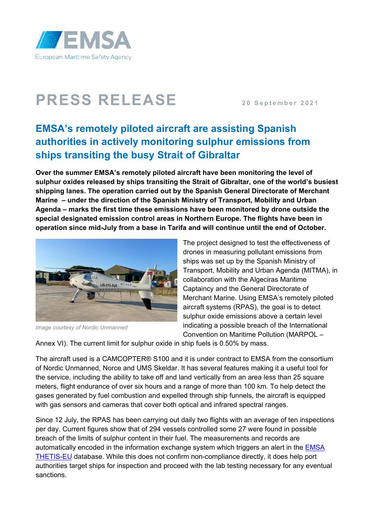

## **PRESS RELEASE 20 20 September** 2021

## **EMSA's remotely piloted aircraft are assisting Spanish authorities in actively monitoring sulphur emissions from ships transiting the busy Strait of Gibraltar**

**Over the summer EMSA's remotely piloted aircraft have been monitoring the level of sulphur oxides released by ships transiting the Strait of Gibraltar, one of the world's busiest shipping lanes. The operation carried out by the Spanish General Directorate of Merchant Marine – under the direction of the Spanish Ministry of Transport, Mobility and Urban Agenda – marks the first time these emissions have been monitored by drone outside the special designated emission control areas in Northern Europe. The flights have been in operation since mid-July from a base in Tarifa and will continue until the end of October.** 



*Image courtesy of Nordic Unmanned*

The project designed to test the effectiveness of drones in measuring pollutant emissions from ships was set up by the Spanish Ministry of Transport, Mobility and Urban Agenda (MITMA), in collaboration with the Algeciras Maritime Captaincy and the General Directorate of Merchant Marine. Using EMSA's remotely piloted aircraft systems (RPAS), the goal is to detect sulphur oxide emissions above a certain level indicating a possible breach of the International Convention on Maritime Pollution (MARPOL –

Annex VI). The current limit for sulphur oxide in ship fuels is 0.50% by mass.

The aircraft used is a CAMCOPTER® S100 and it is under contract to EMSA from the consortium of Nordic Unmanned, Norce and UMS Skeldar. It has several features making it a useful tool for the service, including the ability to take off and land vertically from an area less than 25 square meters, flight endurance of over six hours and a range of more than 100 km. To help detect the gases generated by fuel combustion and expelled through ship funnels, the aircraft is equipped with gas sensors and cameras that cover both optical and infrared spectral ranges.

Since 12 July, the RPAS has been carrying out daily two flights with an average of ten inspections per day. Current figures show that of 294 vessels controlled some 27 were found in possible breach of the limits of sulphur content in their fuel. The measurements and records are automatically encoded in the information exchange system which triggers an alert in the [EMSA](http://www.emsa.europa.eu/thetis-eu.html)  [THETIS-EU](http://www.emsa.europa.eu/thetis-eu.html) database. While this does not confirm non-compliance directly, it does help port authorities target ships for inspection and proceed with the lab testing necessary for any eventual sanctions.